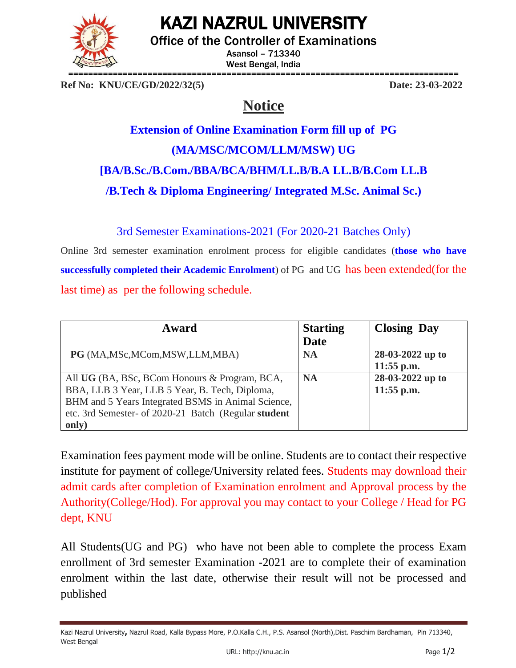

## KAZI NAZRUL UNIVERSITY

Office of the Controller of Examinations

Asansol – 713340 West Bengal, India

**Ref No: KNU/CE/GD/2022/32(5) Date: 23-03-2022**

### **Notice**

# **Extension of Online Examination Form fill up of PG (MA/MSC/MCOM/LLM/MSW) UG [BA/B.Sc./B.Com./BBA/BCA/BHM/LL.B/B.A LL.B/B.Com LL.B /B.Tech & Diploma Engineering/ Integrated M.Sc. Animal Sc.)**

3rd Semester Examinations-2021 (For 2020-21 Batches Only)

Online 3rd semester examination enrolment process for eligible candidates (**those who have successfully completed their Academic Enrolment**) of PG and UG has been extended(for the last time) as per the following schedule.

| Award                                                | <b>Starting</b> | <b>Closing Day</b> |
|------------------------------------------------------|-----------------|--------------------|
|                                                      | <b>Date</b>     |                    |
| PG (MA, MSc, MCom, MSW, LLM, MBA)                    | <b>NA</b>       | 28-03-2022 up to   |
|                                                      |                 | $11:55$ p.m.       |
| All UG (BA, BSc, BCom Honours & Program, BCA,        | <b>NA</b>       | 28-03-2022 up to   |
| BBA, LLB 3 Year, LLB 5 Year, B. Tech, Diploma,       |                 | $11:55$ p.m.       |
| BHM and 5 Years Integrated BSMS in Animal Science,   |                 |                    |
| etc. 3rd Semester- of 2020-21 Batch (Regular student |                 |                    |
| only)                                                |                 |                    |

Examination fees payment mode will be online. Students are to contact their respective institute for payment of college/University related fees. Students may download their admit cards after completion of Examination enrolment and Approval process by the Authority(College/Hod). For approval you may contact to your College / Head for PG dept, KNU

All Students(UG and PG) who have not been able to complete the process Exam enrollment of 3rd semester Examination -2021 are to complete their of examination enrolment within the last date, otherwise their result will not be processed and published